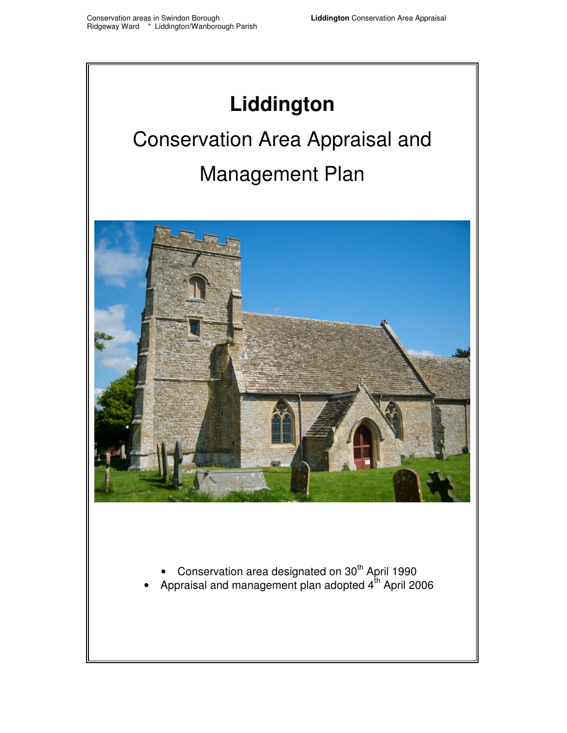## **Liddington**

# Conservation Area Appraisal and Management Plan



- Conservation area designated on  $30<sup>th</sup>$  April 1990
- Appraisal and management plan adopted  $4^{\text{th}}$  April 2006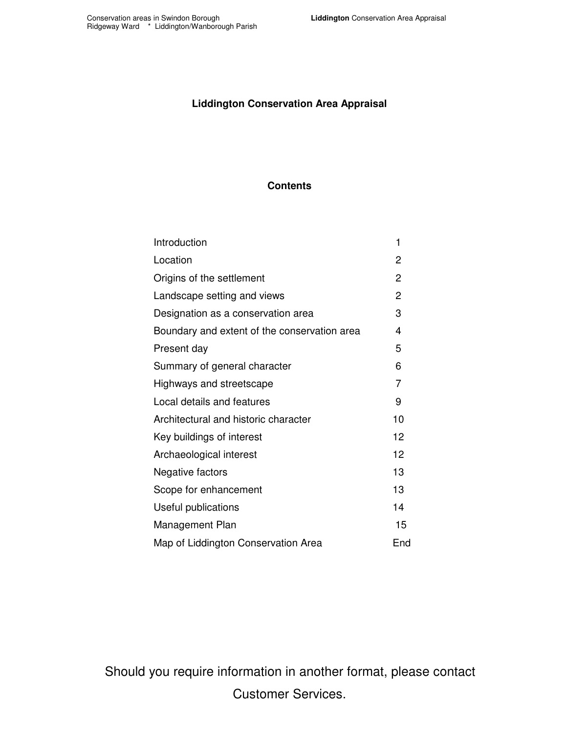#### **Liddington Conservation Area Appraisal**

#### **Contents**

| Introduction                                 | 1              |
|----------------------------------------------|----------------|
| Location                                     | 2              |
| Origins of the settlement                    | $\overline{2}$ |
| Landscape setting and views                  | $\overline{2}$ |
| Designation as a conservation area           | 3              |
| Boundary and extent of the conservation area | 4              |
| Present day                                  | 5              |
| Summary of general character                 | 6              |
| Highways and streetscape                     | 7              |
| Local details and features                   | 9              |
| Architectural and historic character         | 10             |
| Key buildings of interest                    | 12             |
| Archaeological interest                      | 12             |
| Negative factors                             | 13             |
| Scope for enhancement                        | 13             |
| Useful publications                          | 14             |
| Management Plan                              | 15             |
| Map of Liddington Conservation Area          | End            |

 Should you require information in another format, please contact Customer Services.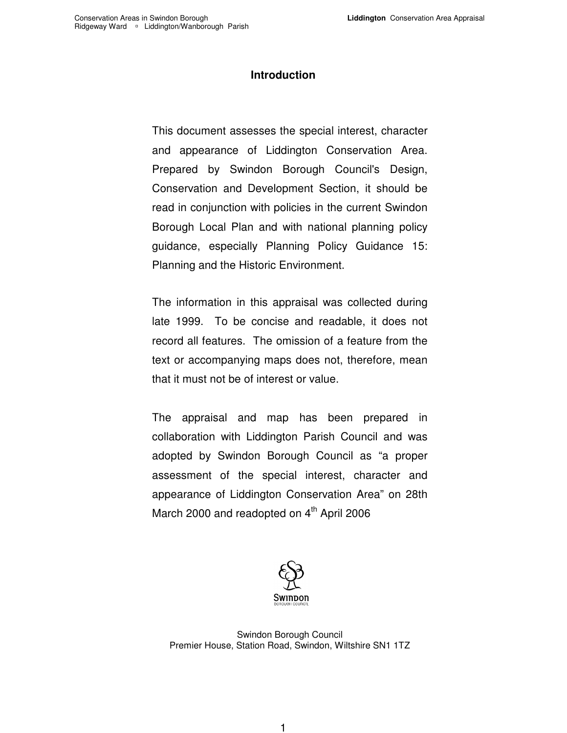#### **Introduction**

<span id="page-2-0"></span> This document assesses the special interest, character and appearance of Liddington Conservation Area. Prepared by Swindon Borough Council's Design, Conservation and Development Section, it should be read in conjunction with policies in the current Swindon Borough Local Plan and with national planning policy guidance, especially Planning Policy Guidance 15: Planning and the Historic Environment.

 The information in this appraisal was collected during late 1999. To be concise and readable, it does not record all features. The omission of a feature from the text or accompanying maps does not, therefore, mean that it must not be of interest or value.

 The appraisal and map has been prepared in collaboration with Liddington Parish Council and was adopted by Swindon Borough Council as "a proper assessment of the special interest, character and appearance of Liddington Conservation Area" on 28th March 2000 and readopted on 4<sup>th</sup> April 2006



 Swindon Borough Council Premier House, Station Road, Swindon, Wiltshire SN1 1TZ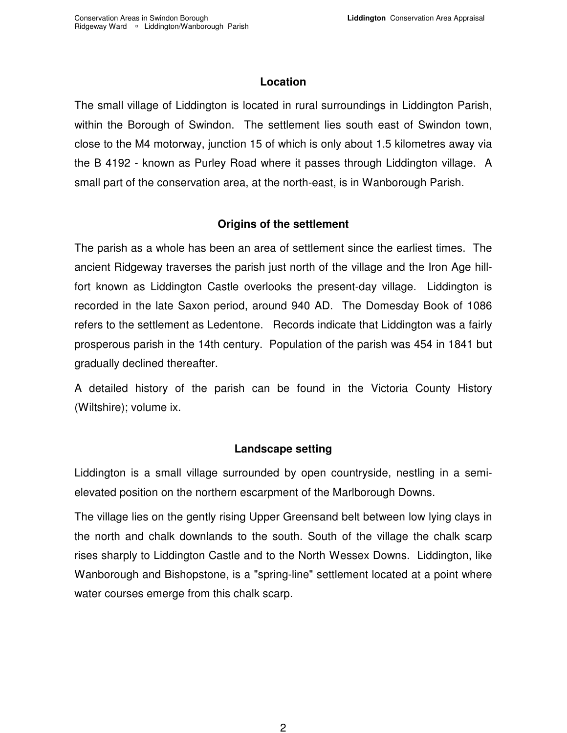#### **Location**

<span id="page-3-0"></span> The small village of Liddington is located in rural surroundings in Liddington Parish, within the Borough of Swindon. The settlement lies south east of Swindon town, close to the M4 motorway, junction 15 of which is only about 1.5 kilometres away via the B 4192 - known as Purley Road where it passes through Liddington village. A small part of the conservation area, at the north-east, is in Wanborough Parish.

#### **Origins of the settlement**

 The parish as a whole has been an area of settlement since the earliest times. The ancient Ridgeway traverses the parish just north of the village and the Iron Age hill- fort known as Liddington Castle overlooks the present-day village. Liddington is recorded in the late Saxon period, around 940 AD. The Domesday Book of 1086 refers to the settlement as Ledentone. Records indicate that Liddington was a fairly prosperous parish in the 14th century. Population of the parish was 454 in 1841 but gradually declined thereafter.

 A detailed history of the parish can be found in the Victoria County History (Wiltshire); volume ix.

#### **Landscape setting**

 Liddington is a small village surrounded by open countryside, nestling in a semi-elevated position on the northern escarpment of the Marlborough Downs.

 The village lies on the gently rising Upper Greensand belt between low lying clays in the north and chalk downlands to the south. South of the village the chalk scarp rises sharply to Liddington Castle and to the North Wessex Downs. Liddington, like Wanborough and Bishopstone, is a "spring-line" settlement located at a point where water courses emerge from this chalk scarp.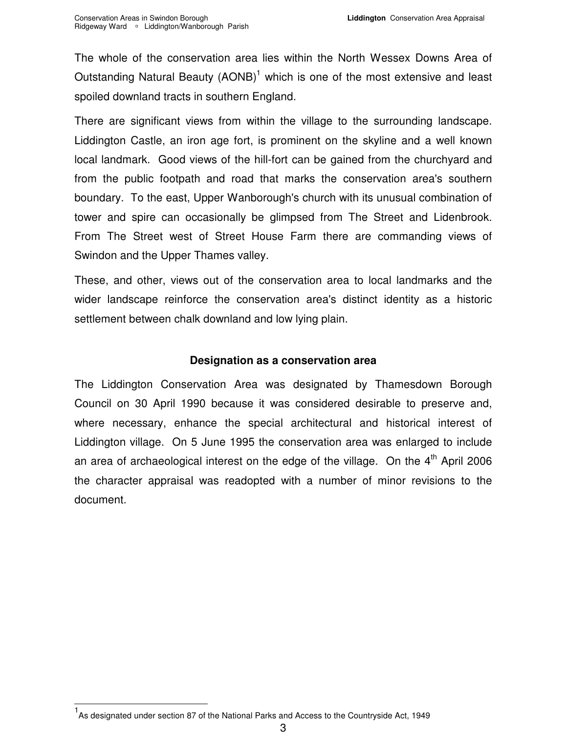<span id="page-4-0"></span> The whole of the conservation area lies within the North Wessex Downs Area of Outstanding Natural Beauty  $(AONB)^1$  which is one of the most extensive and least spoiled downland tracts in southern England.

 There are significant views from within the village to the surrounding landscape. Liddington Castle, an iron age fort, is prominent on the skyline and a well known local landmark. Good views of the hill-fort can be gained from the churchyard and from the public footpath and road that marks the conservation area's southern boundary. To the east, Upper Wanborough's church with its unusual combination of tower and spire can occasionally be glimpsed from The Street and Lidenbrook. From The Street west of Street House Farm there are commanding views of Swindon and the Upper Thames valley.

 These, and other, views out of the conservation area to local landmarks and the wider landscape reinforce the conservation area's distinct identity as a historic settlement between chalk downland and low lying plain.

#### **Designation as a conservation area**

 The Liddington Conservation Area was designated by Thamesdown Borough Council on 30 April 1990 because it was considered desirable to preserve and, where necessary, enhance the special architectural and historical interest of Liddington village. On 5 June 1995 the conservation area was enlarged to include an area of archaeological interest on the edge of the village. On the  $4^{\text{th}}$  April 2006 the character appraisal was readopted with a number of minor revisions to the document.

 $\overline{a}$ 

<sup>&</sup>lt;sup>1</sup> As designated under section 87 of the National Parks and Access to the Countryside Act, 1949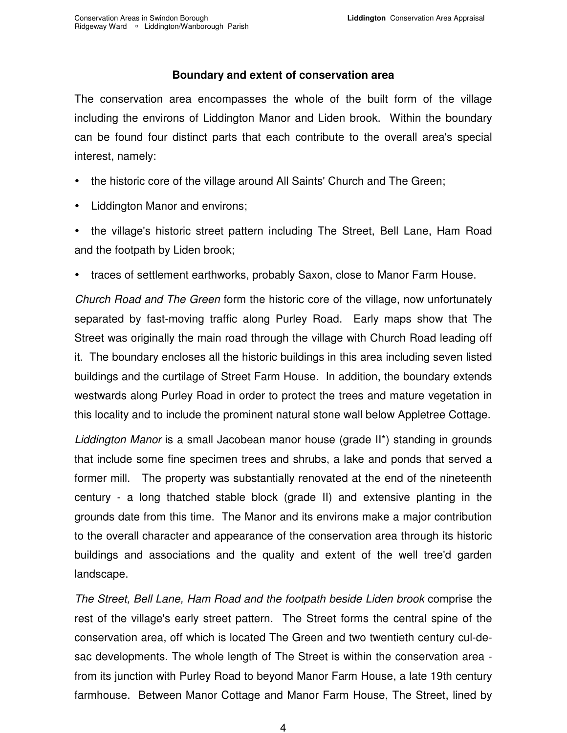#### **Boundary and extent of conservation area**

<span id="page-5-0"></span> The conservation area encompasses the whole of the built form of the village including the environs of Liddington Manor and Liden brook. Within the boundary can be found four distinct parts that each contribute to the overall area's special interest, namely:

- the historic core of the village around All Saints' Church and The Green;
- Liddington Manor and environs;
- and the footpath by Liden brook; the village's historic street pattern including The Street, Bell Lane, Ham Road
- traces of settlement earthworks, probably Saxon, close to Manor Farm House.

 Church Road and The Green form the historic core of the village, now unfortunately separated by fast-moving traffic along Purley Road. Early maps show that The Street was originally the main road through the village with Church Road leading off it. The boundary encloses all the historic buildings in this area including seven listed buildings and the curtilage of Street Farm House. In addition, the boundary extends westwards along Purley Road in order to protect the trees and mature vegetation in this locality and to include the prominent natural stone wall below Appletree Cottage.

Liddington Manor is a small Jacobean manor house (grade II\*) standing in grounds that include some fine specimen trees and shrubs, a lake and ponds that served a former mill. The property was substantially renovated at the end of the nineteenth century - a long thatched stable block (grade II) and extensive planting in the grounds date from this time. The Manor and its environs make a major contribution to the overall character and appearance of the conservation area through its historic buildings and associations and the quality and extent of the well tree'd garden landscape.

 The Street, Bell Lane, Ham Road and the footpath beside Liden brook comprise the rest of the village's early street pattern. The Street forms the central spine of the conservation area, off which is located The Green and two twentieth century cul-de- sac developments. The whole length of The Street is within the conservation area - from its junction with Purley Road to beyond Manor Farm House, a late 19th century farmhouse. Between Manor Cottage and Manor Farm House, The Street, lined by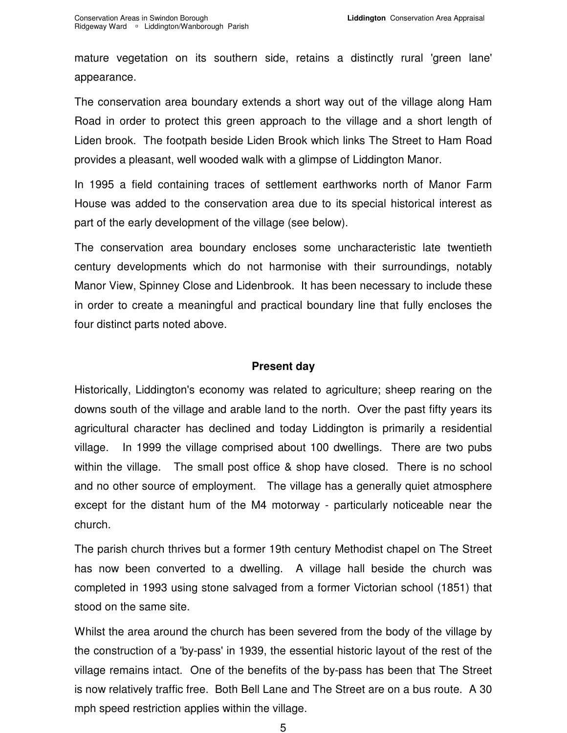<span id="page-6-0"></span> mature vegetation on its southern side, retains a distinctly rural 'green lane' appearance.

 The conservation area boundary extends a short way out of the village along Ham Road in order to protect this green approach to the village and a short length of Liden brook. The footpath beside Liden Brook which links The Street to Ham Road provides a pleasant, well wooded walk with a glimpse of Liddington Manor.

 In 1995 a field containing traces of settlement earthworks north of Manor Farm House was added to the conservation area due to its special historical interest as part of the early development of the village (see below).

 The conservation area boundary encloses some uncharacteristic late twentieth century developments which do not harmonise with their surroundings, notably Manor View, Spinney Close and Lidenbrook. It has been necessary to include these in order to create a meaningful and practical boundary line that fully encloses the four distinct parts noted above.

#### **Present day**

 Historically, Liddington's economy was related to agriculture; sheep rearing on the downs south of the village and arable land to the north. Over the past fifty years its agricultural character has declined and today Liddington is primarily a residential village. within the village. The small post office & shop have closed. There is no school and no other source of employment. The village has a generally quiet atmosphere except for the distant hum of the M4 motorway - particularly noticeable near the In 1999 the village comprised about 100 dwellings. There are two pubs church.

 The parish church thrives but a former 19th century Methodist chapel on The Street has now been converted to a dwelling. A village hall beside the church was completed in 1993 using stone salvaged from a former Victorian school (1851) that stood on the same site.

 Whilst the area around the church has been severed from the body of the village by the construction of a 'by-pass' in 1939, the essential historic layout of the rest of the village remains intact. One of the benefits of the by-pass has been that The Street is now relatively traffic free. Both Bell Lane and The Street are on a bus route. A 30 mph speed restriction applies within the village.

5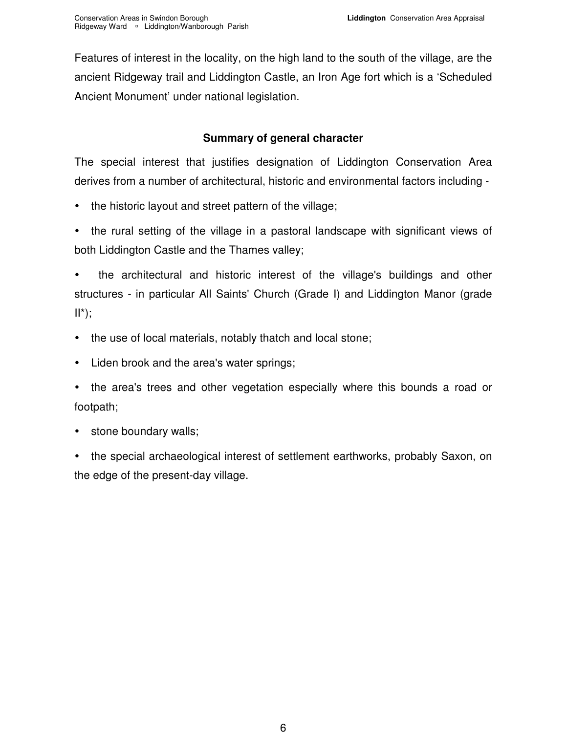<span id="page-7-0"></span> Features of interest in the locality, on the high land to the south of the village, are the ancient Ridgeway trail and Liddington Castle, an Iron Age fort which is a 'Scheduled Ancient Monument' under national legislation.

#### **Summary of general character**

 The special interest that justifies designation of Liddington Conservation Area derives from a number of architectural, historic and environmental factors including -

- the historic layout and street pattern of the village;
- both Liddington Castle and the Thames valley; the rural setting of the village in a pastoral landscape with significant views of

 - structures - in particular All Saints' Church (Grade I) and Liddington Manor (grade the architectural and historic interest of the village's buildings and other  $II^*$ );

- the use of local materials, notably thatch and local stone;
- -Liden brook and the area's water springs;
- the area's trees and other vegetation especially where this bounds a road or footpath;
- stone boundary walls;

 - the edge of the present-day village. the special archaeological interest of settlement earthworks, probably Saxon, on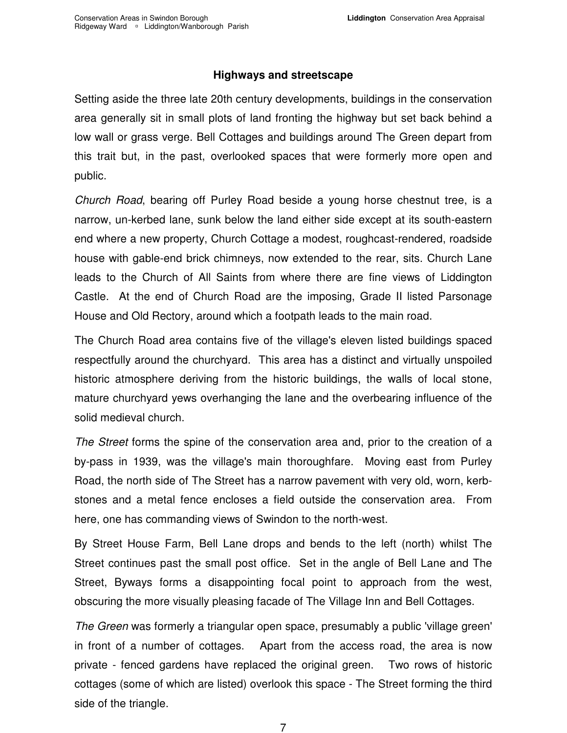#### **Highways and streetscape**

<span id="page-8-0"></span> Setting aside the three late 20th century developments, buildings in the conservation area generally sit in small plots of land fronting the highway but set back behind a low wall or grass verge. Bell Cottages and buildings around The Green depart from this trait but, in the past, overlooked spaces that were formerly more open and public.

 Church Road, bearing off Purley Road beside a young horse chestnut tree, is a narrow, un-kerbed lane, sunk below the land either side except at its south-eastern end where a new property, Church Cottage a modest, roughcast-rendered, roadside house with gable-end brick chimneys, now extended to the rear, sits. Church Lane leads to the Church of All Saints from where there are fine views of Liddington Castle. At the end of Church Road are the imposing, Grade II listed Parsonage House and Old Rectory, around which a footpath leads to the main road.

 The Church Road area contains five of the village's eleven listed buildings spaced respectfully around the churchyard. This area has a distinct and virtually unspoiled historic atmosphere deriving from the historic buildings, the walls of local stone, mature churchyard yews overhanging the lane and the overbearing influence of the solid medieval church.

The Street forms the spine of the conservation area and, prior to the creation of a by-pass in 1939, was the village's main thoroughfare. Moving east from Purley Road, the north side of The Street has a narrow pavement with very old, worn, kerb- stones and a metal fence encloses a field outside the conservation area. From here, one has commanding views of Swindon to the north-west.

 By Street House Farm, Bell Lane drops and bends to the left (north) whilst The Street continues past the small post office. Set in the angle of Bell Lane and The Street, Byways forms a disappointing focal point to approach from the west, obscuring the more visually pleasing facade of The Village Inn and Bell Cottages.

The Green was formerly a triangular open space, presumably a public 'village green' in front of a number of cottages. Apart from the access road, the area is now private - fenced gardens have replaced the original green. Two rows of historic cottages (some of which are listed) overlook this space - The Street forming the third side of the triangle.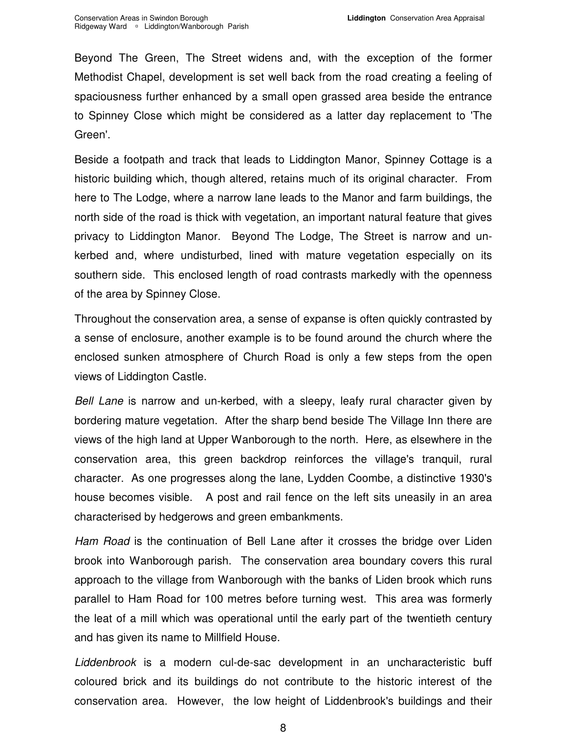Beyond The Green, The Street widens and, with the exception of the former Methodist Chapel, development is set well back from the road creating a feeling of spaciousness further enhanced by a small open grassed area beside the entrance to Spinney Close which might be considered as a latter day replacement to 'The Green'.

 Beside a footpath and track that leads to Liddington Manor, Spinney Cottage is a historic building which, though altered, retains much of its original character. From here to The Lodge, where a narrow lane leads to the Manor and farm buildings, the north side of the road is thick with vegetation, an important natural feature that gives privacy to Liddington Manor. Beyond The Lodge, The Street is narrow and un- kerbed and, where undisturbed, lined with mature vegetation especially on its southern side. This enclosed length of road contrasts markedly with the openness of the area by Spinney Close.

 Throughout the conservation area, a sense of expanse is often quickly contrasted by a sense of enclosure, another example is to be found around the church where the enclosed sunken atmosphere of Church Road is only a few steps from the open views of Liddington Castle.

Bell Lane is narrow and un-kerbed, with a sleepy, leafy rural character given by bordering mature vegetation. After the sharp bend beside The Village Inn there are views of the high land at Upper Wanborough to the north. Here, as elsewhere in the conservation area, this green backdrop reinforces the village's tranquil, rural character. As one progresses along the lane, Lydden Coombe, a distinctive 1930's house becomes visible. A post and rail fence on the left sits uneasily in an area characterised by hedgerows and green embankments.

Ham Road is the continuation of Bell Lane after it crosses the bridge over Liden brook into Wanborough parish. The conservation area boundary covers this rural approach to the village from Wanborough with the banks of Liden brook which runs parallel to Ham Road for 100 metres before turning west. This area was formerly the leat of a mill which was operational until the early part of the twentieth century and has given its name to Millfield House.

Liddenbrook is a modern cul-de-sac development in an uncharacteristic buff coloured brick and its buildings do not contribute to the historic interest of the conservation area. However, the low height of Liddenbrook's buildings and their

8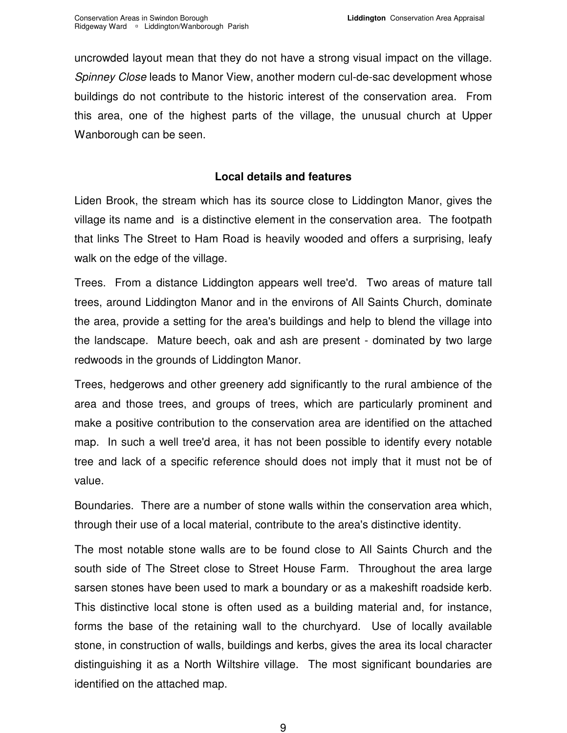<span id="page-10-0"></span> uncrowded layout mean that they do not have a strong visual impact on the village. Spinney Close leads to Manor View, another modern cul-de-sac development whose buildings do not contribute to the historic interest of the conservation area. From this area, one of the highest parts of the village, the unusual church at Upper Wanborough can be seen.

#### **Local details and features**

 Liden Brook, the stream which has its source close to Liddington Manor, gives the village its name and is a distinctive element in the conservation area. The footpath that links The Street to Ham Road is heavily wooded and offers a surprising, leafy walk on the edge of the village.

 Trees. From a distance Liddington appears well tree'd. Two areas of mature tall trees, around Liddington Manor and in the environs of All Saints Church, dominate the area, provide a setting for the area's buildings and help to blend the village into the landscape. Mature beech, oak and ash are present - dominated by two large redwoods in the grounds of Liddington Manor.

 Trees, hedgerows and other greenery add significantly to the rural ambience of the area and those trees, and groups of trees, which are particularly prominent and make a positive contribution to the conservation area are identified on the attached map. In such a well tree'd area, it has not been possible to identify every notable tree and lack of a specific reference should does not imply that it must not be of value.

 Boundaries. There are a number of stone walls within the conservation area which, through their use of a local material, contribute to the area's distinctive identity.

 The most notable stone walls are to be found close to All Saints Church and the south side of The Street close to Street House Farm. Throughout the area large sarsen stones have been used to mark a boundary or as a makeshift roadside kerb. This distinctive local stone is often used as a building material and, for instance, forms the base of the retaining wall to the churchyard. Use of locally available stone, in construction of walls, buildings and kerbs, gives the area its local character distinguishing it as a North Wiltshire village. The most significant boundaries are identified on the attached map.

9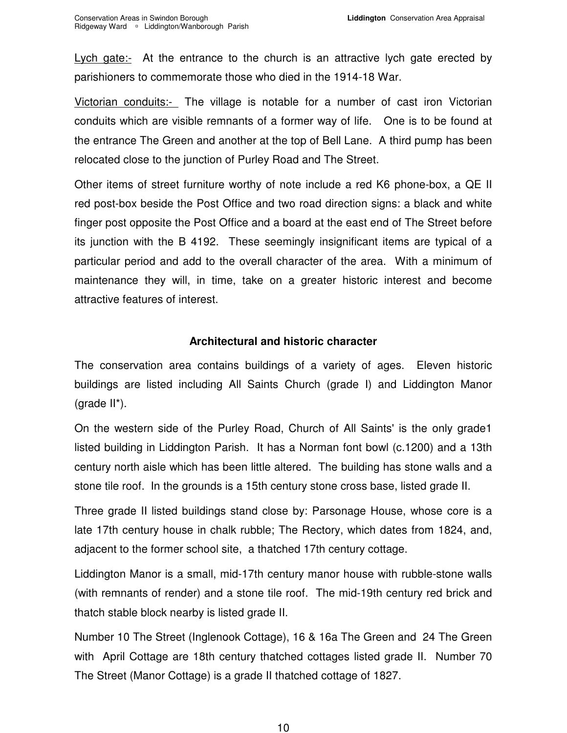<span id="page-11-0"></span>Lych gate:- At the entrance to the church is an attractive lych gate erected by parishioners to commemorate those who died in the 1914-18 War.

Victorian conduits:- The village is notable for a number of cast iron Victorian conduits which are visible remnants of a former way of life. One is to be found at the entrance The Green and another at the top of Bell Lane. A third pump has been relocated close to the junction of Purley Road and The Street.

 Other items of street furniture worthy of note include a red K6 phone-box, a QE II red post-box beside the Post Office and two road direction signs: a black and white finger post opposite the Post Office and a board at the east end of The Street before its junction with the B 4192. These seemingly insignificant items are typical of a particular period and add to the overall character of the area. With a minimum of maintenance they will, in time, take on a greater historic interest and become attractive features of interest.

#### **Architectural and historic character**

 The conservation area contains buildings of a variety of ages. Eleven historic buildings are listed including All Saints Church (grade I) and Liddington Manor (grade II\*).

 On the western side of the Purley Road, Church of All Saints' is the only grade1 listed building in Liddington Parish. It has a Norman font bowl (c.1200) and a 13th century north aisle which has been little altered. The building has stone walls and a stone tile roof. In the grounds is a 15th century stone cross base, listed grade II.

 Three grade II listed buildings stand close by: Parsonage House, whose core is a late 17th century house in chalk rubble; The Rectory, which dates from 1824, and, adjacent to the former school site, a thatched 17th century cottage.

 Liddington Manor is a small, mid-17th century manor house with rubble-stone walls (with remnants of render) and a stone tile roof. The mid-19th century red brick and thatch stable block nearby is listed grade II.

 Number 10 The Street (Inglenook Cottage), 16 & 16a The Green and 24 The Green with April Cottage are 18th century thatched cottages listed grade II. Number 70 The Street (Manor Cottage) is a grade II thatched cottage of 1827.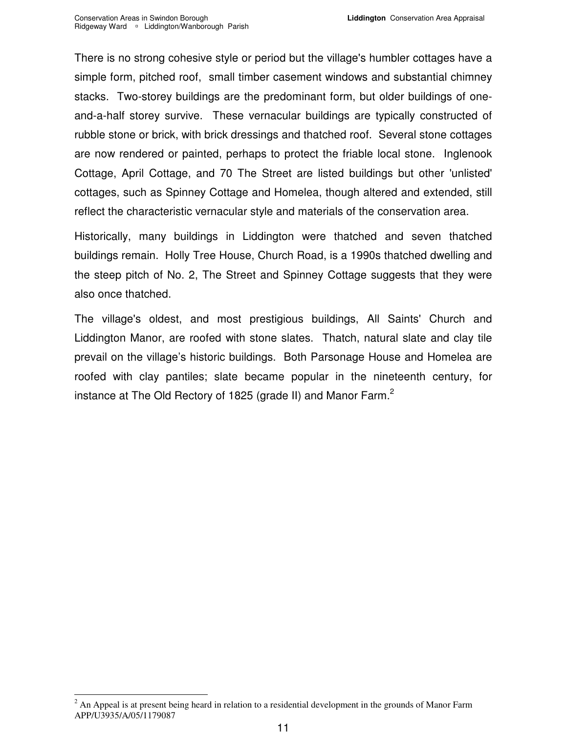There is no strong cohesive style or period but the village's humbler cottages have a simple form, pitched roof, small timber casement windows and substantial chimney stacks. Two-storey buildings are the predominant form, but older buildings of one- and-a-half storey survive. These vernacular buildings are typically constructed of rubble stone or brick, with brick dressings and thatched roof. Several stone cottages are now rendered or painted, perhaps to protect the friable local stone. Inglenook Cottage, April Cottage, and 70 The Street are listed buildings but other 'unlisted' cottages, such as Spinney Cottage and Homelea, though altered and extended, still reflect the characteristic vernacular style and materials of the conservation area.

 Historically, many buildings in Liddington were thatched and seven thatched buildings remain. Holly Tree House, Church Road, is a 1990s thatched dwelling and the steep pitch of No. 2, The Street and Spinney Cottage suggests that they were also once thatched.

 The village's oldest, and most prestigious buildings, All Saints' Church and Liddington Manor, are roofed with stone slates. Thatch, natural slate and clay tile prevail on the village's historic buildings. Both Parsonage House and Homelea are roofed with clay pantiles; slate became popular in the nineteenth century, for instance at The Old Rectory of 1825 (grade II) and Manor Farm. $^2$ 

<sup>-</sup> $2^{2}$  An Appeal is at present being heard in relation to a residential development in the grounds of Manor Farm APP/U3935/A/05/1179087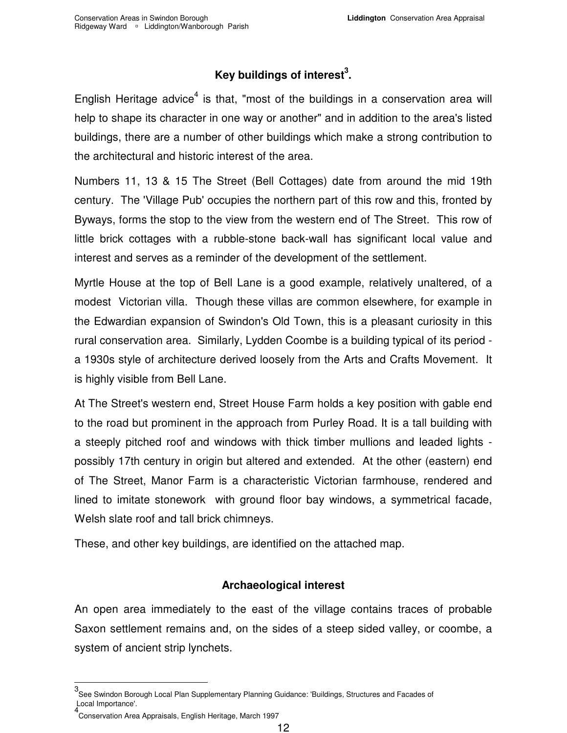### Key buildings of interest<sup>3</sup>.

<span id="page-13-0"></span>English Heritage advice<sup>4</sup> is that, "most of the buildings in a conservation area will help to shape its character in one way or another" and in addition to the area's listed buildings, there are a number of other buildings which make a strong contribution to the architectural and historic interest of the area.

 Numbers 11, 13 & 15 The Street (Bell Cottages) date from around the mid 19th century. The 'Village Pub' occupies the northern part of this row and this, fronted by Byways, forms the stop to the view from the western end of The Street. This row of little brick cottages with a rubble-stone back-wall has significant local value and interest and serves as a reminder of the development of the settlement.

 Myrtle House at the top of Bell Lane is a good example, relatively unaltered, of a modest Victorian villa. Though these villas are common elsewhere, for example in the Edwardian expansion of Swindon's Old Town, this is a pleasant curiosity in this rural conservation area. Similarly, Lydden Coombe is a building typical of its period - a 1930s style of architecture derived loosely from the Arts and Crafts Movement. It is highly visible from Bell Lane.

 At The Street's western end, Street House Farm holds a key position with gable end to the road but prominent in the approach from Purley Road. It is a tall building with a steeply pitched roof and windows with thick timber mullions and leaded lights - possibly 17th century in origin but altered and extended. At the other (eastern) end of The Street, Manor Farm is a characteristic Victorian farmhouse, rendered and lined to imitate stonework with ground floor bay windows, a symmetrical facade, Welsh slate roof and tall brick chimneys.

These, and other key buildings, are identified on the attached map.

#### **Archaeological interest**

 An open area immediately to the east of the village contains traces of probable Saxon settlement remains and, on the sides of a steep sided valley, or coombe, a system of ancient strip lynchets.

j

 3 See Swindon Borough Local Plan Supplementary Planning Guidance: 'Buildings, Structures and Facades of Local Importance'.

 4 Conservation Area Appraisals, English Heritage, March 1997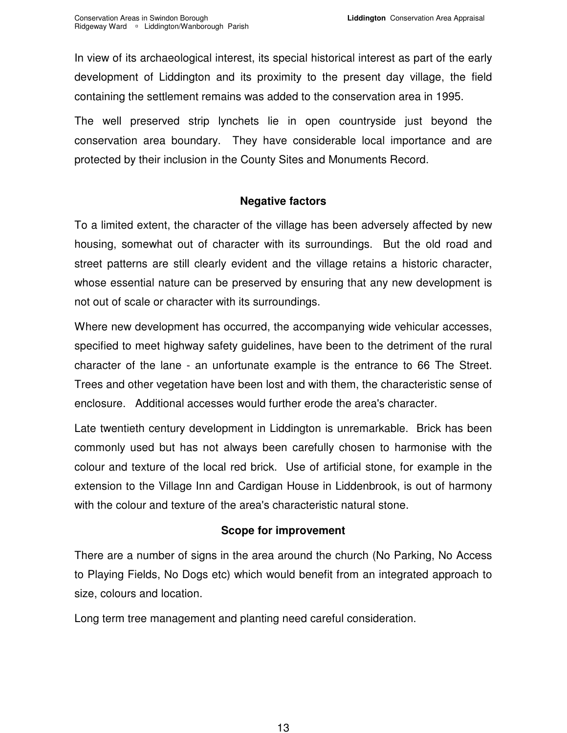<span id="page-14-0"></span> In view of its archaeological interest, its special historical interest as part of the early development of Liddington and its proximity to the present day village, the field containing the settlement remains was added to the conservation area in 1995.

 The well preserved strip lynchets lie in open countryside just beyond the conservation area boundary. They have considerable local importance and are protected by their inclusion in the County Sites and Monuments Record.

#### **Negative factors**

 To a limited extent, the character of the village has been adversely affected by new housing, somewhat out of character with its surroundings. But the old road and street patterns are still clearly evident and the village retains a historic character, whose essential nature can be preserved by ensuring that any new development is not out of scale or character with its surroundings.

 Where new development has occurred, the accompanying wide vehicular accesses, specified to meet highway safety guidelines, have been to the detriment of the rural character of the lane - an unfortunate example is the entrance to 66 The Street. Trees and other vegetation have been lost and with them, the characteristic sense of enclosure. Additional accesses would further erode the area's character.

 Late twentieth century development in Liddington is unremarkable. Brick has been commonly used but has not always been carefully chosen to harmonise with the colour and texture of the local red brick. Use of artificial stone, for example in the extension to the Village Inn and Cardigan House in Liddenbrook, is out of harmony with the colour and texture of the area's characteristic natural stone.

#### **Scope for improvement**

 There are a number of signs in the area around the church (No Parking, No Access to Playing Fields, No Dogs etc) which would benefit from an integrated approach to size, colours and location.

Long term tree management and planting need careful consideration.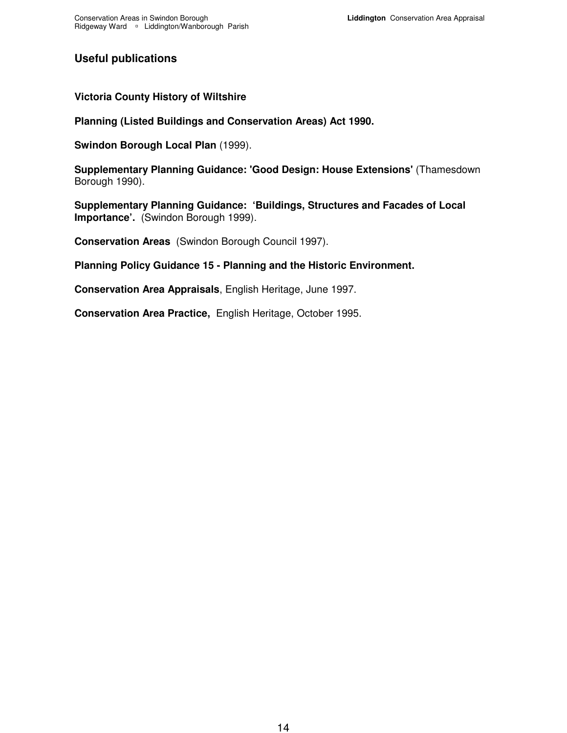#### <span id="page-15-0"></span>**Useful publications**

#### **Victoria County History of Wiltshire**

 **Planning (Listed Buildings and Conservation Areas) Act 1990.** 

 **Swindon Borough Local Plan** (1999).

 **Supplementary Planning Guidance: 'Good Design: House Extensions'** (Thamesdown Borough 1990).

 **Supplementary Planning Guidance: 'Buildings, Structures and Facades of Local Importance'.** (Swindon Borough 1999).

**Conservation Areas** (Swindon Borough Council 1997).

 **Planning Policy Guidance 15 - Planning and the Historic Environment.** 

 **Conservation Area Appraisals**, English Heritage, June 1997.

 **Conservation Area Practice,** English Heritage, October 1995.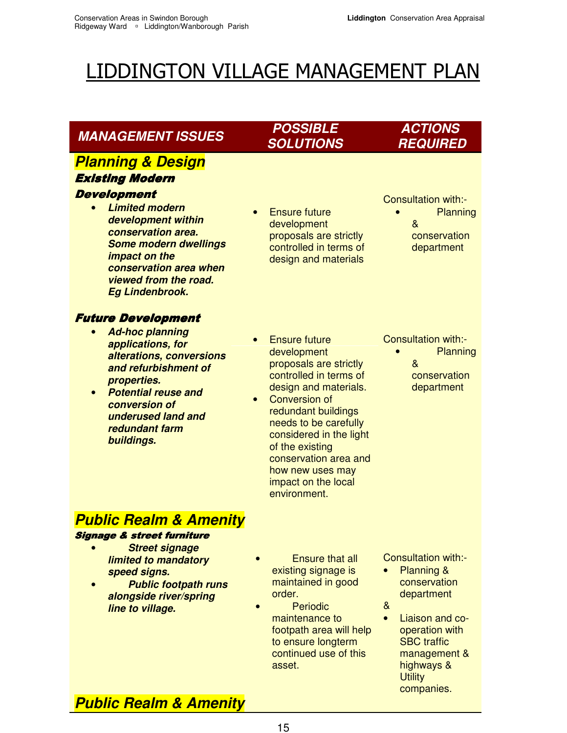## <span id="page-16-0"></span>LIDDINGTON VILLAGE MANAGEMENT PLAN

| <b>MANAGEMENT ISSUES</b>                                                                                                                                                                                                                                                 | <b>POSSIBLE</b><br><b>SOLUTIONS</b>                                                                                                                                                                                                                                                                                                     | <b>ACTIONS</b><br><b>REQUIRED</b>                                                                                                                                                                                     |
|--------------------------------------------------------------------------------------------------------------------------------------------------------------------------------------------------------------------------------------------------------------------------|-----------------------------------------------------------------------------------------------------------------------------------------------------------------------------------------------------------------------------------------------------------------------------------------------------------------------------------------|-----------------------------------------------------------------------------------------------------------------------------------------------------------------------------------------------------------------------|
| <b>Planning &amp; Design</b><br><b>Existing Modern</b><br><b>Development</b><br><b>Limited modern</b><br>development within<br>conservation area.<br><b>Some modern dwellings</b><br>impact on the<br>conservation area when<br>viewed from the road.<br>Eg Lindenbrook. | <b>Ensure future</b><br>development<br>proposals are strictly<br>controlled in terms of<br>design and materials                                                                                                                                                                                                                         | Consultation with:-<br>Planning<br>&<br>conservation<br>department                                                                                                                                                    |
| <b>Future Development</b><br><b>Ad-hoc planning</b><br>$\bullet$<br>applications, for<br>alterations, conversions<br>and refurbishment of<br>properties.<br><b>Potential reuse and</b><br>conversion of<br>underused land and<br>redundant farm<br>buildings.            | <b>Ensure future</b><br>development<br>proposals are strictly<br>controlled in terms of<br>design and materials.<br><b>Conversion of</b><br>$\bullet$<br>redundant buildings<br>needs to be carefully<br>considered in the light<br>of the existing<br>conservation area and<br>how new uses may<br>impact on the local<br>environment. | Consultation with:-<br>Planning<br>&<br>conservation<br>department                                                                                                                                                    |
| <b>Public Realm &amp; Amenity</b><br><b>Signage &amp; street furniture</b><br><b>Street signage</b><br>limited to mandatory<br>speed signs.<br><b>Public footpath runs</b><br>alongside river/spring<br>line to village.<br><b>Public Realm &amp; Amenity</b>            | <b>Ensure that all</b><br>existing signage is<br>maintained in good<br>order.<br>Periodic<br>maintenance to<br>footpath area will help<br>to ensure longterm<br>continued use of this<br>asset.                                                                                                                                         | Consultation with:-<br><b>Planning &amp;</b><br>conservation<br>department<br>&<br>Liaison and co-<br>$\bullet$<br>operation with<br><b>SBC</b> traffic<br>management &<br>highways &<br><b>Utility</b><br>companies. |